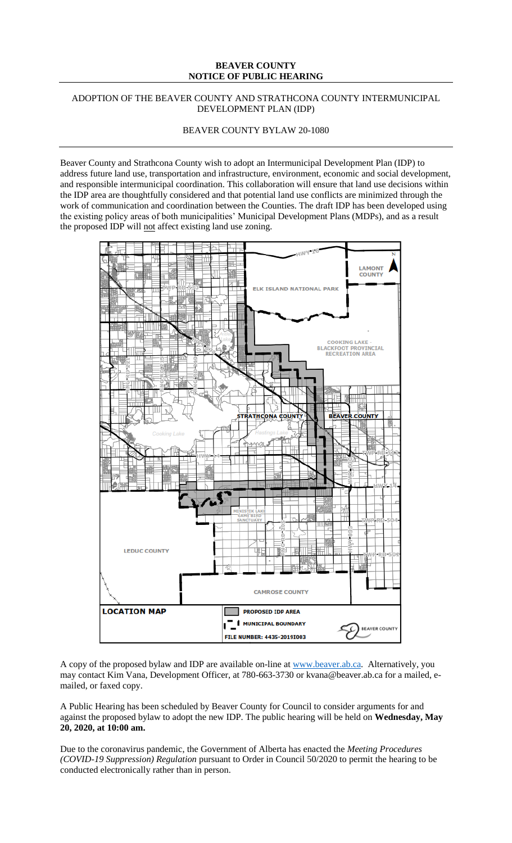## **BEAVER COUNTY NOTICE OF PUBLIC HEARING**

## ADOPTION OF THE BEAVER COUNTY AND STRATHCONA COUNTY INTERMUNICIPAL DEVELOPMENT PLAN (IDP)

BEAVER COUNTY BYLAW 20-1080

Beaver County and Strathcona County wish to adopt an Intermunicipal Development Plan (IDP) to address future land use, transportation and infrastructure, environment, economic and social development, and responsible intermunicipal coordination. This collaboration will ensure that land use decisions within the IDP area are thoughtfully considered and that potential land use conflicts are minimized through the work of communication and coordination between the Counties. The draft IDP has been developed using the existing policy areas of both municipalities' Municipal Development Plans (MDPs), and as a result the proposed IDP will not affect existing land use zoning.



A copy of the proposed bylaw and IDP are available on-line at [www.beaver.ab.ca.](http://www.beaver.ab.ca/) Alternatively, you may contact Kim Vana, Development Officer, at 780-663-3730 or kvana@beaver.ab.ca for a mailed, emailed, or faxed copy.

A Public Hearing has been scheduled by Beaver County for Council to consider arguments for and against the proposed bylaw to adopt the new IDP. The public hearing will be held on **Wednesday, May 20, 2020, at 10:00 am.**

Due to the coronavirus pandemic, the Government of Alberta has enacted the *Meeting Procedures (COVID-19 Suppression) Regulation* pursuant to Order in Council 50/2020 to permit the hearing to be conducted electronically rather than in person.